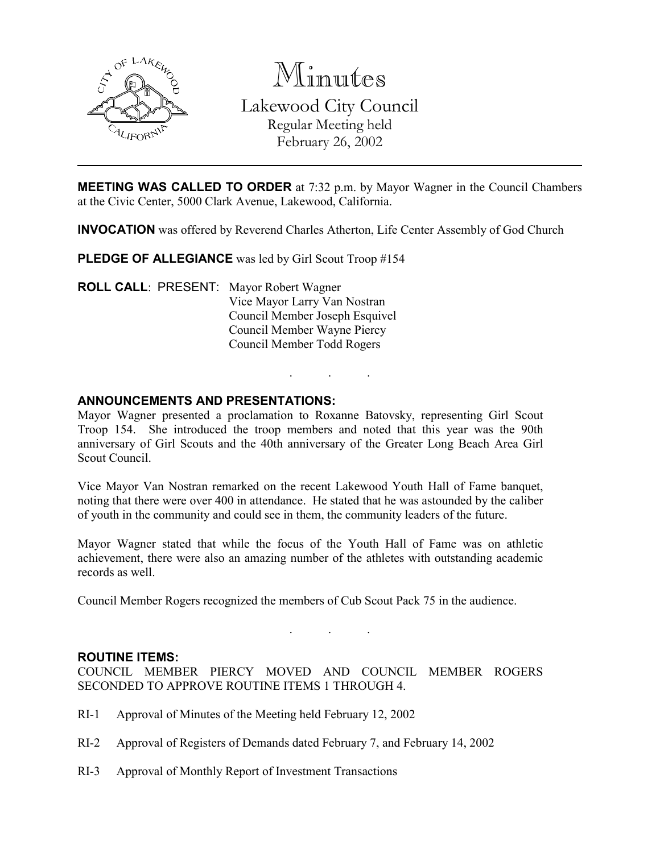

Minutes

Lakewood City Council Regular Meeting held February 26, 2002

MEETING WAS CALLED TO ORDER at 7:32 p.m. by Mayor Wagner in the Council Chambers at the Civic Center, 5000 Clark Avenue, Lakewood, California.

INVOCATION was offered by Reverend Charles Atherton, Life Center Assembly of God Church

PLEDGE OF ALLEGIANCE was led by Girl Scout Troop #154

ROLL CALL: PRESENT: Mayor Robert Wagner Vice Mayor Larry Van Nostran Council Member Joseph Esquivel Council Member Wayne Piercy Council Member Todd Rogers

### ANNOUNCEMENTS AND PRESENTATIONS:

Mayor Wagner presented a proclamation to Roxanne Batovsky, representing Girl Scout Troop 154. She introduced the troop members and noted that this year was the 90th anniversary of Girl Scouts and the 40th anniversary of the Greater Long Beach Area Girl Scout Council.

. . .

Vice Mayor Van Nostran remarked on the recent Lakewood Youth Hall of Fame banquet, noting that there were over 400 in attendance. He stated that he was astounded by the caliber of youth in the community and could see in them, the community leaders of the future.

Mayor Wagner stated that while the focus of the Youth Hall of Fame was on athletic achievement, there were also an amazing number of the athletes with outstanding academic records as well.

Council Member Rogers recognized the members of Cub Scout Pack 75 in the audience.

#### ROUTINE ITEMS:

COUNCIL MEMBER PIERCY MOVED AND COUNCIL MEMBER ROGERS SECONDED TO APPROVE ROUTINE ITEMS 1 THROUGH 4.

. . .

- RI-1 Approval of Minutes of the Meeting held February 12, 2002
- RI-2 Approval of Registers of Demands dated February 7, and February 14, 2002
- RI-3 Approval of Monthly Report of Investment Transactions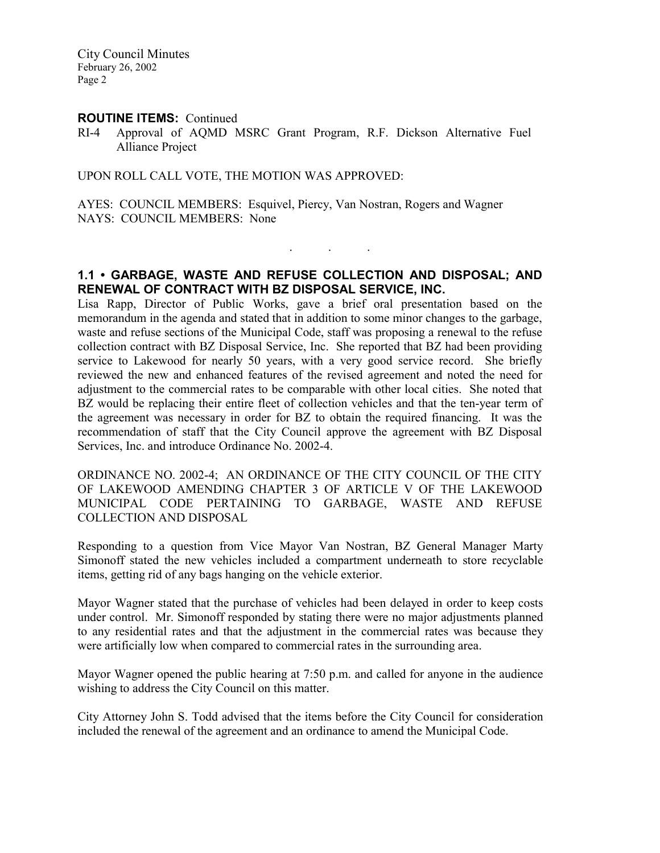#### ROUTINE ITEMS: Continued

RI-4 Approval of AQMD MSRC Grant Program, R.F. Dickson Alternative Fuel Alliance Project

UPON ROLL CALL VOTE, THE MOTION WAS APPROVED:

AYES: COUNCIL MEMBERS: Esquivel, Piercy, Van Nostran, Rogers and Wagner NAYS: COUNCIL MEMBERS: None

# 1.1 • GARBAGE, WASTE AND REFUSE COLLECTION AND DISPOSAL; AND RENEWAL OF CONTRACT WITH BZ DISPOSAL SERVICE, INC.

. . .

Lisa Rapp, Director of Public Works, gave a brief oral presentation based on the memorandum in the agenda and stated that in addition to some minor changes to the garbage, waste and refuse sections of the Municipal Code, staff was proposing a renewal to the refuse collection contract with BZ Disposal Service, Inc. She reported that BZ had been providing service to Lakewood for nearly 50 years, with a very good service record. She briefly reviewed the new and enhanced features of the revised agreement and noted the need for adjustment to the commercial rates to be comparable with other local cities. She noted that BZ would be replacing their entire fleet of collection vehicles and that the ten-year term of the agreement was necessary in order for BZ to obtain the required financing. It was the recommendation of staff that the City Council approve the agreement with BZ Disposal Services, Inc. and introduce Ordinance No. 2002-4.

ORDINANCE NO. 2002-4; AN ORDINANCE OF THE CITY COUNCIL OF THE CITY OF LAKEWOOD AMENDING CHAPTER 3 OF ARTICLE V OF THE LAKEWOOD MUNICIPAL CODE PERTAINING TO GARBAGE, WASTE AND REFUSE COLLECTION AND DISPOSAL

Responding to a question from Vice Mayor Van Nostran, BZ General Manager Marty Simonoff stated the new vehicles included a compartment underneath to store recyclable items, getting rid of any bags hanging on the vehicle exterior.

Mayor Wagner stated that the purchase of vehicles had been delayed in order to keep costs under control. Mr. Simonoff responded by stating there were no major adjustments planned to any residential rates and that the adjustment in the commercial rates was because they were artificially low when compared to commercial rates in the surrounding area.

Mayor Wagner opened the public hearing at 7:50 p.m. and called for anyone in the audience wishing to address the City Council on this matter.

City Attorney John S. Todd advised that the items before the City Council for consideration included the renewal of the agreement and an ordinance to amend the Municipal Code.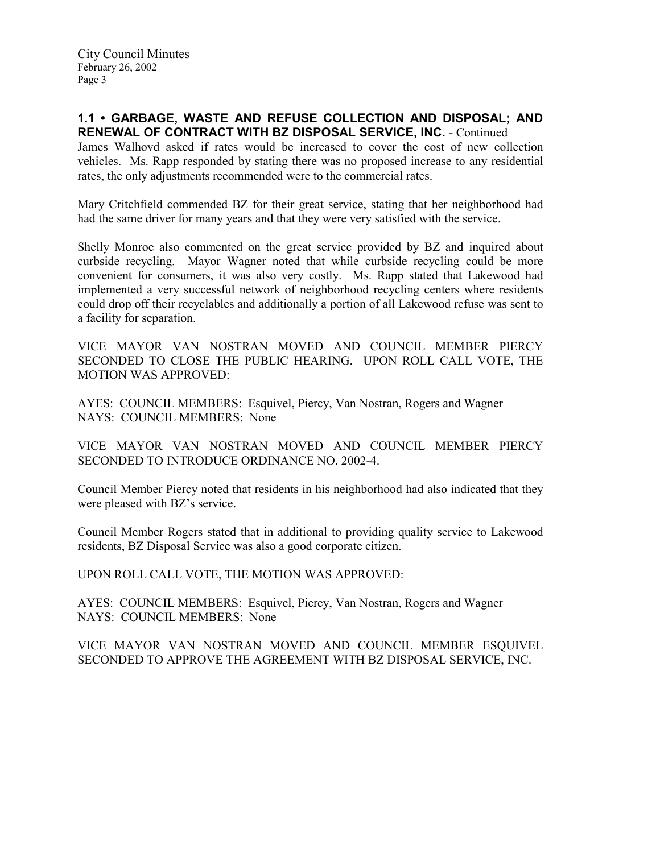### 1.1 • GARBAGE, WASTE AND REFUSE COLLECTION AND DISPOSAL; AND RENEWAL OF CONTRACT WITH BZ DISPOSAL SERVICE, INC. - Continued

James Walhovd asked if rates would be increased to cover the cost of new collection vehicles. Ms. Rapp responded by stating there was no proposed increase to any residential rates, the only adjustments recommended were to the commercial rates.

Mary Critchfield commended BZ for their great service, stating that her neighborhood had had the same driver for many years and that they were very satisfied with the service.

Shelly Monroe also commented on the great service provided by BZ and inquired about curbside recycling. Mayor Wagner noted that while curbside recycling could be more convenient for consumers, it was also very costly. Ms. Rapp stated that Lakewood had implemented a very successful network of neighborhood recycling centers where residents could drop off their recyclables and additionally a portion of all Lakewood refuse was sent to a facility for separation.

VICE MAYOR VAN NOSTRAN MOVED AND COUNCIL MEMBER PIERCY SECONDED TO CLOSE THE PUBLIC HEARING. UPON ROLL CALL VOTE, THE MOTION WAS APPROVED:

AYES: COUNCIL MEMBERS: Esquivel, Piercy, Van Nostran, Rogers and Wagner NAYS: COUNCIL MEMBERS: None

VICE MAYOR VAN NOSTRAN MOVED AND COUNCIL MEMBER PIERCY SECONDED TO INTRODUCE ORDINANCE NO. 2002-4.

Council Member Piercy noted that residents in his neighborhood had also indicated that they were pleased with BZ's service.

Council Member Rogers stated that in additional to providing quality service to Lakewood residents, BZ Disposal Service was also a good corporate citizen.

UPON ROLL CALL VOTE, THE MOTION WAS APPROVED:

AYES: COUNCIL MEMBERS: Esquivel, Piercy, Van Nostran, Rogers and Wagner NAYS: COUNCIL MEMBERS: None

VICE MAYOR VAN NOSTRAN MOVED AND COUNCIL MEMBER ESQUIVEL SECONDED TO APPROVE THE AGREEMENT WITH BZ DISPOSAL SERVICE, INC.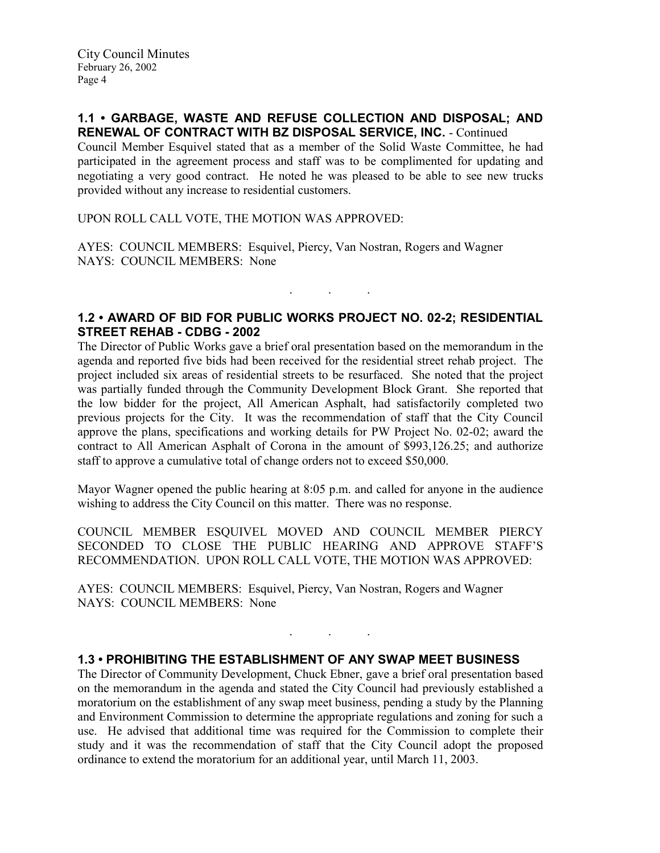### 1.1 • GARBAGE, WASTE AND REFUSE COLLECTION AND DISPOSAL; AND RENEWAL OF CONTRACT WITH BZ DISPOSAL SERVICE, INC. - Continued

Council Member Esquivel stated that as a member of the Solid Waste Committee, he had participated in the agreement process and staff was to be complimented for updating and negotiating a very good contract. He noted he was pleased to be able to see new trucks provided without any increase to residential customers.

UPON ROLL CALL VOTE, THE MOTION WAS APPROVED:

AYES: COUNCIL MEMBERS: Esquivel, Piercy, Van Nostran, Rogers and Wagner NAYS: COUNCIL MEMBERS: None

# 1.2 • AWARD OF BID FOR PUBLIC WORKS PROJECT NO. 02-2; RESIDENTIAL STREET REHAB - CDBG - 2002

. . .

The Director of Public Works gave a brief oral presentation based on the memorandum in the agenda and reported five bids had been received for the residential street rehab project. The project included six areas of residential streets to be resurfaced. She noted that the project was partially funded through the Community Development Block Grant. She reported that the low bidder for the project, All American Asphalt, had satisfactorily completed two previous projects for the City. It was the recommendation of staff that the City Council approve the plans, specifications and working details for PW Project No. 02-02; award the contract to All American Asphalt of Corona in the amount of \$993,126.25; and authorize staff to approve a cumulative total of change orders not to exceed \$50,000.

Mayor Wagner opened the public hearing at 8:05 p.m. and called for anyone in the audience wishing to address the City Council on this matter. There was no response.

COUNCIL MEMBER ESQUIVEL MOVED AND COUNCIL MEMBER PIERCY SECONDED TO CLOSE THE PUBLIC HEARING AND APPROVE STAFF'S RECOMMENDATION. UPON ROLL CALL VOTE, THE MOTION WAS APPROVED:

AYES: COUNCIL MEMBERS: Esquivel, Piercy, Van Nostran, Rogers and Wagner NAYS: COUNCIL MEMBERS: None

## 1.3 • PROHIBITING THE ESTABLISHMENT OF ANY SWAP MEET BUSINESS

The Director of Community Development, Chuck Ebner, gave a brief oral presentation based on the memorandum in the agenda and stated the City Council had previously established a moratorium on the establishment of any swap meet business, pending a study by the Planning and Environment Commission to determine the appropriate regulations and zoning for such a use. He advised that additional time was required for the Commission to complete their study and it was the recommendation of staff that the City Council adopt the proposed ordinance to extend the moratorium for an additional year, until March 11, 2003.

. . .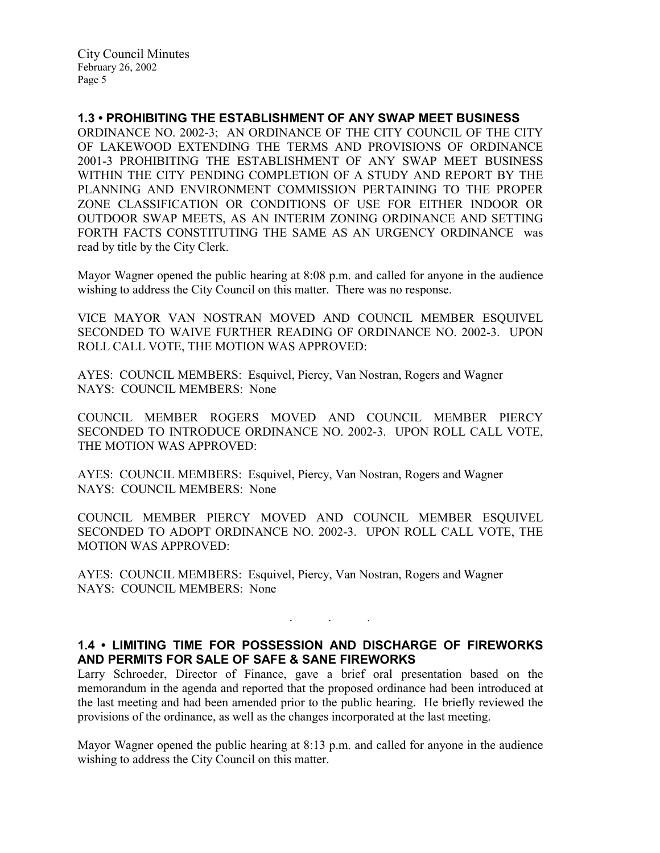## 1.3 • PROHIBITING THE ESTABLISHMENT OF ANY SWAP MEET BUSINESS

ORDINANCE NO. 2002-3; AN ORDINANCE OF THE CITY COUNCIL OF THE CITY OF LAKEWOOD EXTENDING THE TERMS AND PROVISIONS OF ORDINANCE 2001-3 PROHIBITING THE ESTABLISHMENT OF ANY SWAP MEET BUSINESS WITHIN THE CITY PENDING COMPLETION OF A STUDY AND REPORT BY THE PLANNING AND ENVIRONMENT COMMISSION PERTAINING TO THE PROPER ZONE CLASSIFICATION OR CONDITIONS OF USE FOR EITHER INDOOR OR OUTDOOR SWAP MEETS, AS AN INTERIM ZONING ORDINANCE AND SETTING FORTH FACTS CONSTITUTING THE SAME AS AN URGENCY ORDINANCE was read by title by the City Clerk.

Mayor Wagner opened the public hearing at 8:08 p.m. and called for anyone in the audience wishing to address the City Council on this matter. There was no response.

VICE MAYOR VAN NOSTRAN MOVED AND COUNCIL MEMBER ESQUIVEL SECONDED TO WAIVE FURTHER READING OF ORDINANCE NO. 2002-3. UPON ROLL CALL VOTE, THE MOTION WAS APPROVED:

AYES: COUNCIL MEMBERS: Esquivel, Piercy, Van Nostran, Rogers and Wagner NAYS: COUNCIL MEMBERS: None

COUNCIL MEMBER ROGERS MOVED AND COUNCIL MEMBER PIERCY SECONDED TO INTRODUCE ORDINANCE NO. 2002-3. UPON ROLL CALL VOTE, THE MOTION WAS APPROVED:

AYES: COUNCIL MEMBERS: Esquivel, Piercy, Van Nostran, Rogers and Wagner NAYS: COUNCIL MEMBERS: None

COUNCIL MEMBER PIERCY MOVED AND COUNCIL MEMBER ESQUIVEL SECONDED TO ADOPT ORDINANCE NO. 2002-3. UPON ROLL CALL VOTE, THE MOTION WAS APPROVED:

AYES: COUNCIL MEMBERS: Esquivel, Piercy, Van Nostran, Rogers and Wagner NAYS: COUNCIL MEMBERS: None

# 1.4 • LIMITING TIME FOR POSSESSION AND DISCHARGE OF FIREWORKS AND PERMITS FOR SALE OF SAFE & SANE FIREWORKS

. . .

Larry Schroeder, Director of Finance, gave a brief oral presentation based on the memorandum in the agenda and reported that the proposed ordinance had been introduced at the last meeting and had been amended prior to the public hearing. He briefly reviewed the provisions of the ordinance, as well as the changes incorporated at the last meeting.

Mayor Wagner opened the public hearing at 8:13 p.m. and called for anyone in the audience wishing to address the City Council on this matter.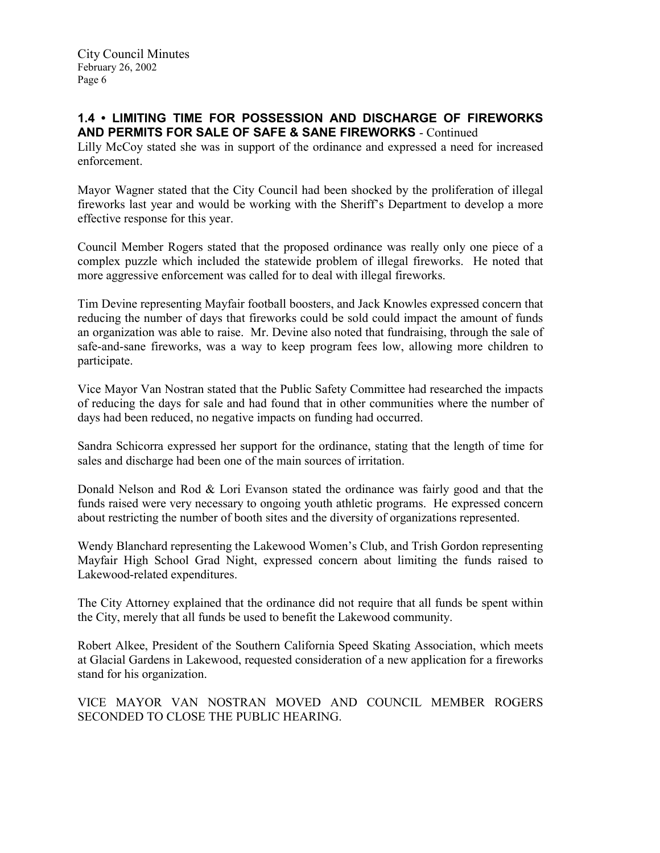# 1.4 • LIMITING TIME FOR POSSESSION AND DISCHARGE OF FIREWORKS AND PERMITS FOR SALE OF SAFE & SANE FIREWORKS - Continued

Lilly McCoy stated she was in support of the ordinance and expressed a need for increased enforcement.

Mayor Wagner stated that the City Council had been shocked by the proliferation of illegal fireworks last year and would be working with the Sheriff's Department to develop a more effective response for this year.

Council Member Rogers stated that the proposed ordinance was really only one piece of a complex puzzle which included the statewide problem of illegal fireworks. He noted that more aggressive enforcement was called for to deal with illegal fireworks.

Tim Devine representing Mayfair football boosters, and Jack Knowles expressed concern that reducing the number of days that fireworks could be sold could impact the amount of funds an organization was able to raise. Mr. Devine also noted that fundraising, through the sale of safe-and-sane fireworks, was a way to keep program fees low, allowing more children to participate.

Vice Mayor Van Nostran stated that the Public Safety Committee had researched the impacts of reducing the days for sale and had found that in other communities where the number of days had been reduced, no negative impacts on funding had occurred.

Sandra Schicorra expressed her support for the ordinance, stating that the length of time for sales and discharge had been one of the main sources of irritation.

Donald Nelson and Rod & Lori Evanson stated the ordinance was fairly good and that the funds raised were very necessary to ongoing youth athletic programs. He expressed concern about restricting the number of booth sites and the diversity of organizations represented.

Wendy Blanchard representing the Lakewood Women's Club, and Trish Gordon representing Mayfair High School Grad Night, expressed concern about limiting the funds raised to Lakewood-related expenditures.

The City Attorney explained that the ordinance did not require that all funds be spent within the City, merely that all funds be used to benefit the Lakewood community.

Robert Alkee, President of the Southern California Speed Skating Association, which meets at Glacial Gardens in Lakewood, requested consideration of a new application for a fireworks stand for his organization.

VICE MAYOR VAN NOSTRAN MOVED AND COUNCIL MEMBER ROGERS SECONDED TO CLOSE THE PUBLIC HEARING.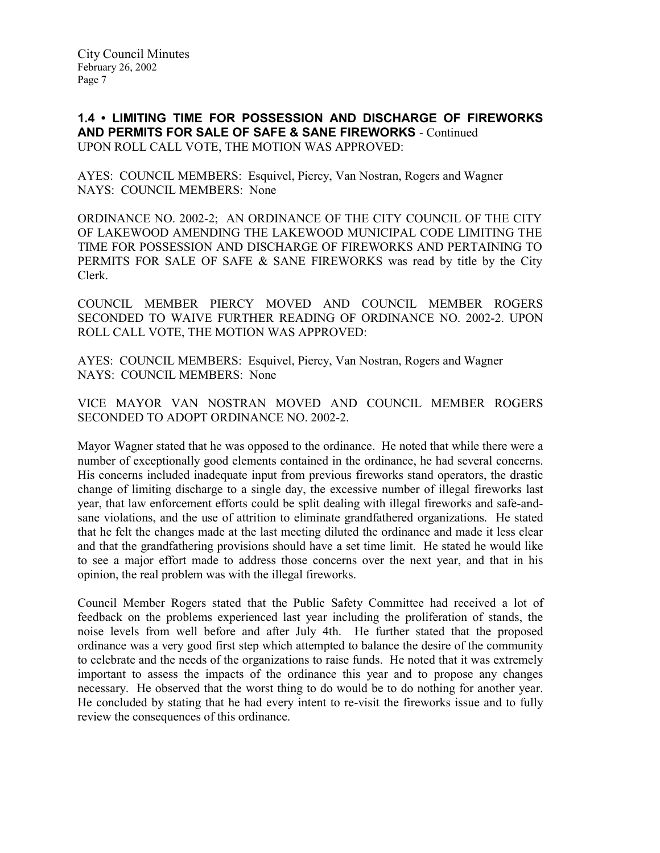1.4 • LIMITING TIME FOR POSSESSION AND DISCHARGE OF FIREWORKS AND PERMITS FOR SALE OF SAFE & SANE FIREWORKS - Continued UPON ROLL CALL VOTE, THE MOTION WAS APPROVED:

AYES: COUNCIL MEMBERS: Esquivel, Piercy, Van Nostran, Rogers and Wagner NAYS: COUNCIL MEMBERS: None

ORDINANCE NO. 2002-2; AN ORDINANCE OF THE CITY COUNCIL OF THE CITY OF LAKEWOOD AMENDING THE LAKEWOOD MUNICIPAL CODE LIMITING THE TIME FOR POSSESSION AND DISCHARGE OF FIREWORKS AND PERTAINING TO PERMITS FOR SALE OF SAFE & SANE FIREWORKS was read by title by the City Clerk.

COUNCIL MEMBER PIERCY MOVED AND COUNCIL MEMBER ROGERS SECONDED TO WAIVE FURTHER READING OF ORDINANCE NO. 2002-2. UPON ROLL CALL VOTE, THE MOTION WAS APPROVED:

AYES: COUNCIL MEMBERS: Esquivel, Piercy, Van Nostran, Rogers and Wagner NAYS: COUNCIL MEMBERS: None

VICE MAYOR VAN NOSTRAN MOVED AND COUNCIL MEMBER ROGERS SECONDED TO ADOPT ORDINANCE NO. 2002-2.

Mayor Wagner stated that he was opposed to the ordinance. He noted that while there were a number of exceptionally good elements contained in the ordinance, he had several concerns. His concerns included inadequate input from previous fireworks stand operators, the drastic change of limiting discharge to a single day, the excessive number of illegal fireworks last year, that law enforcement efforts could be split dealing with illegal fireworks and safe-andsane violations, and the use of attrition to eliminate grandfathered organizations. He stated that he felt the changes made at the last meeting diluted the ordinance and made it less clear and that the grandfathering provisions should have a set time limit. He stated he would like to see a major effort made to address those concerns over the next year, and that in his opinion, the real problem was with the illegal fireworks.

Council Member Rogers stated that the Public Safety Committee had received a lot of feedback on the problems experienced last year including the proliferation of stands, the noise levels from well before and after July 4th. He further stated that the proposed ordinance was a very good first step which attempted to balance the desire of the community to celebrate and the needs of the organizations to raise funds. He noted that it was extremely important to assess the impacts of the ordinance this year and to propose any changes necessary. He observed that the worst thing to do would be to do nothing for another year. He concluded by stating that he had every intent to re-visit the fireworks issue and to fully review the consequences of this ordinance.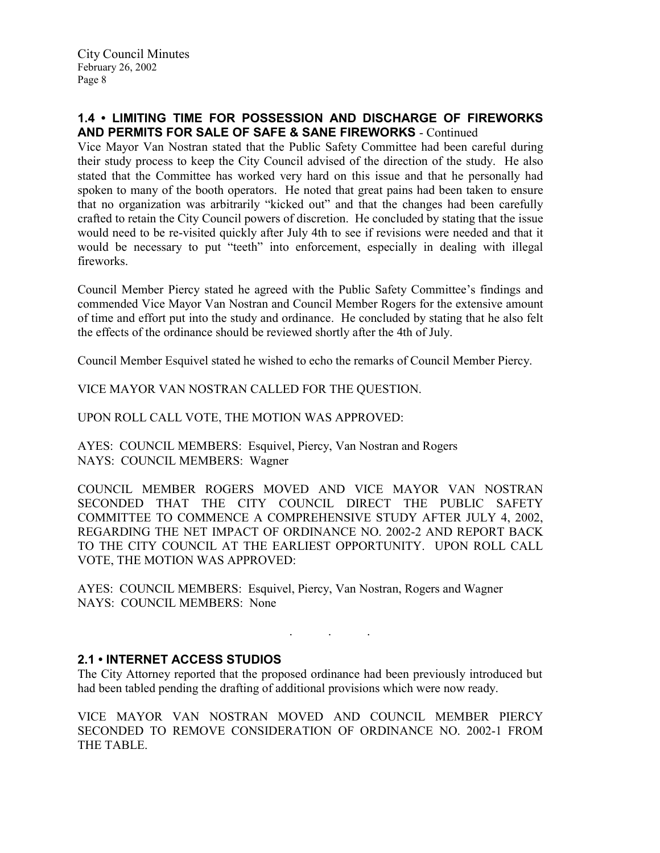# 1.4 • LIMITING TIME FOR POSSESSION AND DISCHARGE OF FIREWORKS AND PERMITS FOR SALE OF SAFE & SANE FIREWORKS - Continued

Vice Mayor Van Nostran stated that the Public Safety Committee had been careful during their study process to keep the City Council advised of the direction of the study. He also stated that the Committee has worked very hard on this issue and that he personally had spoken to many of the booth operators. He noted that great pains had been taken to ensure that no organization was arbitrarily "kicked out" and that the changes had been carefully crafted to retain the City Council powers of discretion. He concluded by stating that the issue would need to be re-visited quickly after July 4th to see if revisions were needed and that it would be necessary to put "teeth" into enforcement, especially in dealing with illegal fireworks.

Council Member Piercy stated he agreed with the Public Safety Committee's findings and commended Vice Mayor Van Nostran and Council Member Rogers for the extensive amount of time and effort put into the study and ordinance. He concluded by stating that he also felt the effects of the ordinance should be reviewed shortly after the 4th of July.

Council Member Esquivel stated he wished to echo the remarks of Council Member Piercy.

VICE MAYOR VAN NOSTRAN CALLED FOR THE QUESTION.

UPON ROLL CALL VOTE, THE MOTION WAS APPROVED:

AYES: COUNCIL MEMBERS: Esquivel, Piercy, Van Nostran and Rogers NAYS: COUNCIL MEMBERS: Wagner

COUNCIL MEMBER ROGERS MOVED AND VICE MAYOR VAN NOSTRAN SECONDED THAT THE CITY COUNCIL DIRECT THE PUBLIC SAFETY COMMITTEE TO COMMENCE A COMPREHENSIVE STUDY AFTER JULY 4, 2002, REGARDING THE NET IMPACT OF ORDINANCE NO. 2002-2 AND REPORT BACK TO THE CITY COUNCIL AT THE EARLIEST OPPORTUNITY. UPON ROLL CALL VOTE, THE MOTION WAS APPROVED:

AYES: COUNCIL MEMBERS: Esquivel, Piercy, Van Nostran, Rogers and Wagner NAYS: COUNCIL MEMBERS: None

## 2.1 • INTERNET ACCESS STUDIOS

The City Attorney reported that the proposed ordinance had been previously introduced but had been tabled pending the drafting of additional provisions which were now ready.

 $\mathbf{r}$  .  $\mathbf{r}$  ,  $\mathbf{r}$  ,  $\mathbf{r}$  ,  $\mathbf{r}$  ,  $\mathbf{r}$  ,  $\mathbf{r}$  ,  $\mathbf{r}$ 

VICE MAYOR VAN NOSTRAN MOVED AND COUNCIL MEMBER PIERCY SECONDED TO REMOVE CONSIDERATION OF ORDINANCE NO. 2002-1 FROM THE TABLE.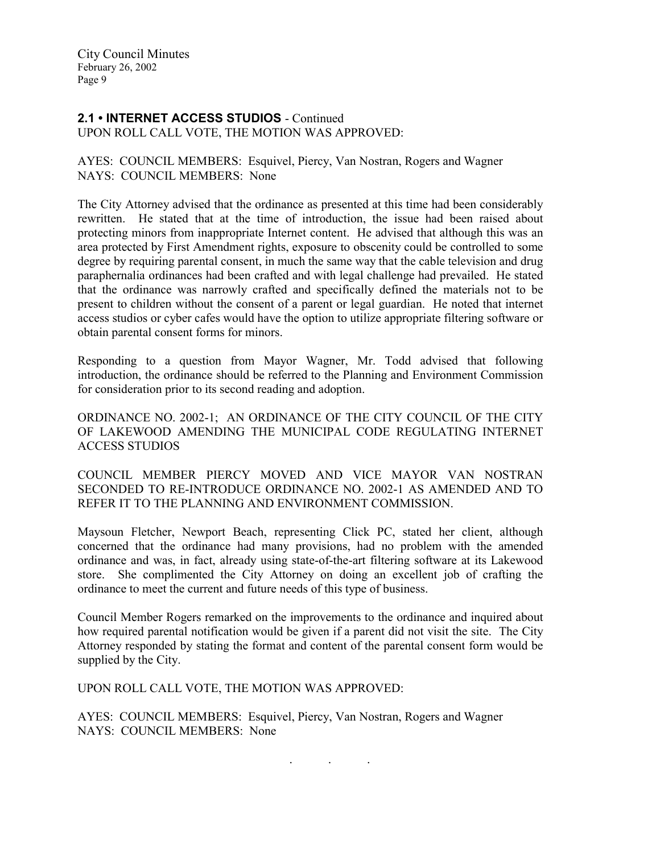### 2.1 • INTERNET ACCESS STUDIOS - Continued UPON ROLL CALL VOTE, THE MOTION WAS APPROVED:

AYES: COUNCIL MEMBERS: Esquivel, Piercy, Van Nostran, Rogers and Wagner NAYS: COUNCIL MEMBERS: None

The City Attorney advised that the ordinance as presented at this time had been considerably rewritten. He stated that at the time of introduction, the issue had been raised about protecting minors from inappropriate Internet content. He advised that although this was an area protected by First Amendment rights, exposure to obscenity could be controlled to some degree by requiring parental consent, in much the same way that the cable television and drug paraphernalia ordinances had been crafted and with legal challenge had prevailed. He stated that the ordinance was narrowly crafted and specifically defined the materials not to be present to children without the consent of a parent or legal guardian. He noted that internet access studios or cyber cafes would have the option to utilize appropriate filtering software or obtain parental consent forms for minors.

Responding to a question from Mayor Wagner, Mr. Todd advised that following introduction, the ordinance should be referred to the Planning and Environment Commission for consideration prior to its second reading and adoption.

ORDINANCE NO. 2002-1; AN ORDINANCE OF THE CITY COUNCIL OF THE CITY OF LAKEWOOD AMENDING THE MUNICIPAL CODE REGULATING INTERNET ACCESS STUDIOS

COUNCIL MEMBER PIERCY MOVED AND VICE MAYOR VAN NOSTRAN SECONDED TO RE-INTRODUCE ORDINANCE NO. 2002-1 AS AMENDED AND TO REFER IT TO THE PLANNING AND ENVIRONMENT COMMISSION.

Maysoun Fletcher, Newport Beach, representing Click PC, stated her client, although concerned that the ordinance had many provisions, had no problem with the amended ordinance and was, in fact, already using state-of-the-art filtering software at its Lakewood store. She complimented the City Attorney on doing an excellent job of crafting the ordinance to meet the current and future needs of this type of business.

Council Member Rogers remarked on the improvements to the ordinance and inquired about how required parental notification would be given if a parent did not visit the site. The City Attorney responded by stating the format and content of the parental consent form would be supplied by the City.

UPON ROLL CALL VOTE, THE MOTION WAS APPROVED:

AYES: COUNCIL MEMBERS: Esquivel, Piercy, Van Nostran, Rogers and Wagner NAYS: COUNCIL MEMBERS: None

. . .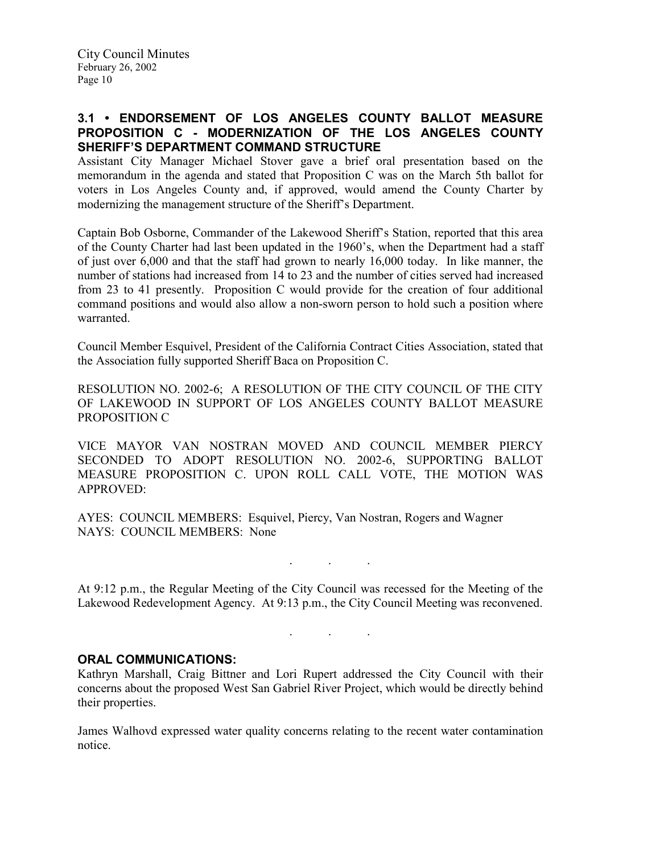# 3.1 • ENDORSEMENT OF LOS ANGELES COUNTY BALLOT MEASURE PROPOSITION C - MODERNIZATION OF THE LOS ANGELES COUNTY SHERIFF'S DEPARTMENT COMMAND STRUCTURE

Assistant City Manager Michael Stover gave a brief oral presentation based on the memorandum in the agenda and stated that Proposition C was on the March 5th ballot for voters in Los Angeles County and, if approved, would amend the County Charter by modernizing the management structure of the Sheriff's Department.

Captain Bob Osborne, Commander of the Lakewood Sheriff's Station, reported that this area of the County Charter had last been updated in the 1960's, when the Department had a staff of just over 6,000 and that the staff had grown to nearly 16,000 today. In like manner, the number of stations had increased from 14 to 23 and the number of cities served had increased from 23 to 41 presently. Proposition C would provide for the creation of four additional command positions and would also allow a non-sworn person to hold such a position where warranted.

Council Member Esquivel, President of the California Contract Cities Association, stated that the Association fully supported Sheriff Baca on Proposition C.

RESOLUTION NO. 2002-6; A RESOLUTION OF THE CITY COUNCIL OF THE CITY OF LAKEWOOD IN SUPPORT OF LOS ANGELES COUNTY BALLOT MEASURE PROPOSITION C

VICE MAYOR VAN NOSTRAN MOVED AND COUNCIL MEMBER PIERCY SECONDED TO ADOPT RESOLUTION NO. 2002-6, SUPPORTING BALLOT MEASURE PROPOSITION C. UPON ROLL CALL VOTE, THE MOTION WAS APPROVED:

AYES: COUNCIL MEMBERS: Esquivel, Piercy, Van Nostran, Rogers and Wagner NAYS: COUNCIL MEMBERS: None

 $\mathcal{L}$  . The set of  $\mathcal{L}$  is a set of  $\mathcal{L}$ 

At 9:12 p.m., the Regular Meeting of the City Council was recessed for the Meeting of the Lakewood Redevelopment Agency. At 9:13 p.m., the City Council Meeting was reconvened.

. . .

# ORAL COMMUNICATIONS:

Kathryn Marshall, Craig Bittner and Lori Rupert addressed the City Council with their concerns about the proposed West San Gabriel River Project, which would be directly behind their properties.

James Walhovd expressed water quality concerns relating to the recent water contamination notice.